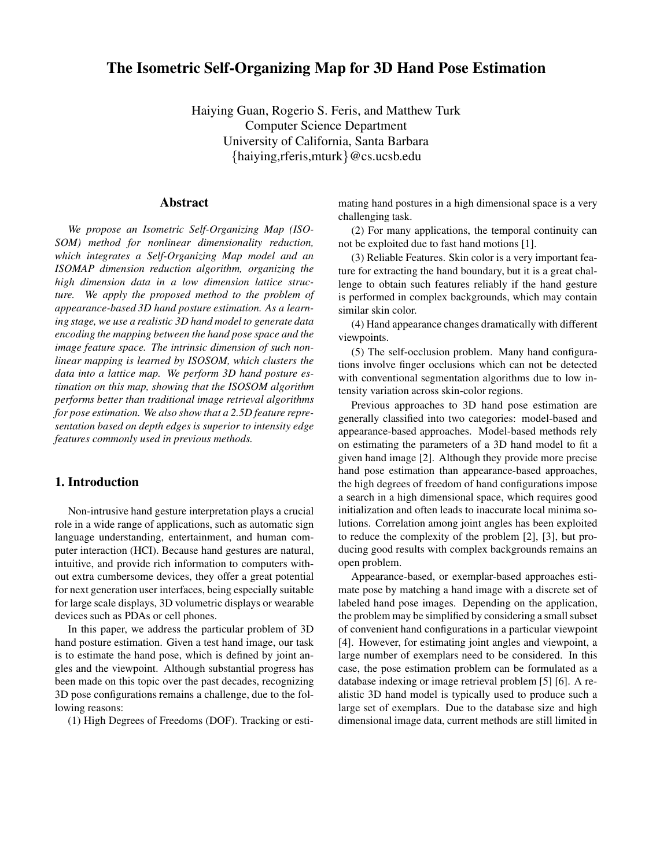# **The Isometric Self-Organizing Map for 3D Hand Pose Estimation**

Haiying Guan, Rogerio S. Feris, and Matthew Turk Computer Science Department University of California, Santa Barbara {haiying,rferis,mturk}@cs.ucsb.edu

### **Abstract**

*We propose an Isometric Self-Organizing Map (ISO-SOM) method for nonlinear dimensionality reduction, which integrates a Self-Organizing Map model and an ISOMAP dimension reduction algorithm, organizing the high dimension data in a low dimension lattice structure. We apply the proposed method to the problem of appearance-based 3D hand posture estimation. As a learning stage, we use a realistic 3D hand model to generate data encoding the mapping between the hand pose space and the image feature space. The intrinsic dimension of such nonlinear mapping is learned by ISOSOM, which clusters the data into a lattice map. We perform 3D hand posture estimation on this map, showing that the ISOSOM algorithm performs better than traditional image retrieval algorithms for pose estimation. We also show that a 2.5D feature representation based on depth edges is superior to intensity edge features commonly used in previous methods.*

## **1. Introduction**

Non-intrusive hand gesture interpretation plays a crucial role in a wide range of applications, such as automatic sign language understanding, entertainment, and human computer interaction (HCI). Because hand gestures are natural, intuitive, and provide rich information to computers without extra cumbersome devices, they offer a great potential for next generation user interfaces, being especially suitable for large scale displays, 3D volumetric displays or wearable devices such as PDAs or cell phones.

In this paper, we address the particular problem of 3D hand posture estimation. Given a test hand image, our task is to estimate the hand pose, which is defined by joint angles and the viewpoint. Although substantial progress has been made on this topic over the past decades, recognizing 3D pose configurations remains a challenge, due to the following reasons:

(1) High Degrees of Freedoms (DOF). Tracking or esti-

mating hand postures in a high dimensional space is a very challenging task.

(2) For many applications, the temporal continuity can not be exploited due to fast hand motions [1].

(3) Reliable Features. Skin color is a very important feature for extracting the hand boundary, but it is a great challenge to obtain such features reliably if the hand gesture is performed in complex backgrounds, which may contain similar skin color.

(4) Hand appearance changes dramatically with different viewpoints.

(5) The self-occlusion problem. Many hand configurations involve finger occlusions which can not be detected with conventional segmentation algorithms due to low intensity variation across skin-color regions.

Previous approaches to 3D hand pose estimation are generally classified into two categories: model-based and appearance-based approaches. Model-based methods rely on estimating the parameters of a 3D hand model to fit a given hand image [2]. Although they provide more precise hand pose estimation than appearance-based approaches, the high degrees of freedom of hand configurations impose a search in a high dimensional space, which requires good initialization and often leads to inaccurate local minima solutions. Correlation among joint angles has been exploited to reduce the complexity of the problem [2], [3], but producing good results with complex backgrounds remains an open problem.

Appearance-based, or exemplar-based approaches estimate pose by matching a hand image with a discrete set of labeled hand pose images. Depending on the application, the problem may be simplified by considering a small subset of convenient hand configurations in a particular viewpoint [4]. However, for estimating joint angles and viewpoint, a large number of exemplars need to be considered. In this case, the pose estimation problem can be formulated as a database indexing or image retrieval problem [5] [6]. A realistic 3D hand model is typically used to produce such a large set of exemplars. Due to the database size and high dimensional image data, current methods are still limited in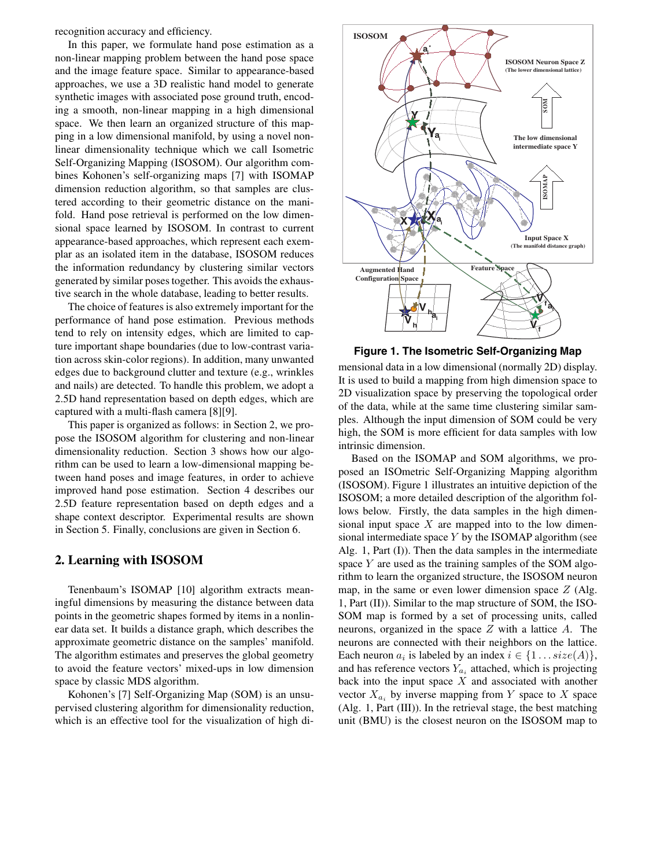recognition accuracy and efficiency.

In this paper, we formulate hand pose estimation as a non-linear mapping problem between the hand pose space and the image feature space. Similar to appearance-based approaches, we use a 3D realistic hand model to generate synthetic images with associated pose ground truth, encoding a smooth, non-linear mapping in a high dimensional space. We then learn an organized structure of this mapping in a low dimensional manifold, by using a novel nonlinear dimensionality technique which we call Isometric Self-Organizing Mapping (ISOSOM). Our algorithm combines Kohonen's self-organizing maps [7] with ISOMAP dimension reduction algorithm, so that samples are clustered according to their geometric distance on the manifold. Hand pose retrieval is performed on the low dimensional space learned by ISOSOM. In contrast to current appearance-based approaches, which represent each exemplar as an isolated item in the database, ISOSOM reduces the information redundancy by clustering similar vectors generated by similar poses together. This avoids the exhaustive search in the whole database, leading to better results.

The choice of features is also extremely important for the performance of hand pose estimation. Previous methods tend to rely on intensity edges, which are limited to capture important shape boundaries (due to low-contrast variation across skin-color regions). In addition, many unwanted edges due to background clutter and texture (e.g., wrinkles and nails) are detected. To handle this problem, we adopt a 2.5D hand representation based on depth edges, which are captured with a multi-flash camera [8][9].

This paper is organized as follows: in Section 2, we propose the ISOSOM algorithm for clustering and non-linear dimensionality reduction. Section 3 shows how our algorithm can be used to learn a low-dimensional mapping between hand poses and image features, in order to achieve improved hand pose estimation. Section 4 describes our 2.5D feature representation based on depth edges and a shape context descriptor. Experimental results are shown in Section 5. Finally, conclusions are given in Section 6.

## **2. Learning with ISOSOM**

Tenenbaum's ISOMAP [10] algorithm extracts meaningful dimensions by measuring the distance between data points in the geometric shapes formed by items in a nonlinear data set. It builds a distance graph, which describes the approximate geometric distance on the samples' manifold. The algorithm estimates and preserves the global geometry to avoid the feature vectors' mixed-ups in low dimension space by classic MDS algorithm.

Kohonen's [7] Self-Organizing Map (SOM) is an unsupervised clustering algorithm for dimensionality reduction, which is an effective tool for the visualization of high di-



**Figure 1. The Isometric Self-Organizing Map**

mensional data in a low dimensional (normally 2D) display. It is used to build a mapping from high dimension space to 2D visualization space by preserving the topological order of the data, while at the same time clustering similar samples. Although the input dimension of SOM could be very high, the SOM is more efficient for data samples with low intrinsic dimension.

Based on the ISOMAP and SOM algorithms, we proposed an ISOmetric Self-Organizing Mapping algorithm (ISOSOM). Figure 1 illustrates an intuitive depiction of the ISOSOM; a more detailed description of the algorithm follows below. Firstly, the data samples in the high dimensional input space  $X$  are mapped into to the low dimensional intermediate space *Y* by the ISOMAP algorithm (see Alg. 1, Part (I)). Then the data samples in the intermediate space *Y* are used as the training samples of the SOM algorithm to learn the organized structure, the ISOSOM neuron map, in the same or even lower dimension space *Z* (Alg. 1, Part (II)). Similar to the map structure of SOM, the ISO-SOM map is formed by a set of processing units, called neurons, organized in the space *Z* with a lattice *A*. The neurons are connected with their neighbors on the lattice. Each neuron  $a_i$  is labeled by an index  $i \in \{1 \dots size(A)\},\$ and has reference vectors  $Y_{a_i}$  attached, which is projecting back into the input space *X* and associated with another vector  $X_{a_i}$  by inverse mapping from *Y* space to *X* space (Alg. 1, Part (III)). In the retrieval stage, the best matching unit (BMU) is the closest neuron on the ISOSOM map to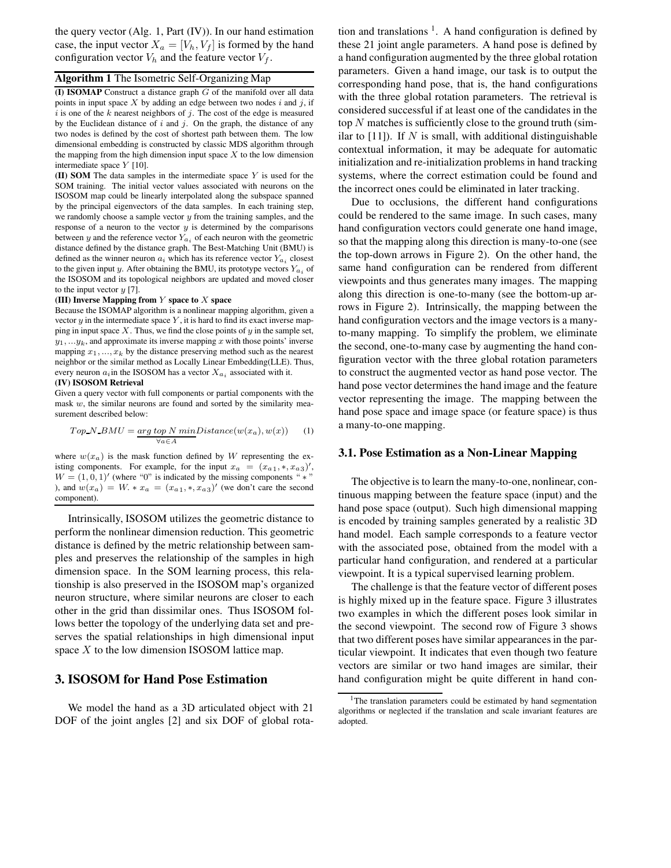the query vector (Alg. 1, Part (IV)). In our hand estimation case, the input vector  $X_a = [V_h, V_f]$  is formed by the hand configuration vector  $V_h$  and the feature vector  $V_f$ .

## **Algorithm 1** The Isometric Self-Organizing Map

**(I) ISOMAP** Construct a distance graph *G* of the manifold over all data points in input space *X* by adding an edge between two nodes *i* and *j*, if *i* is one of the *k* nearest neighbors of *j*. The cost of the edge is measured by the Euclidean distance of *i* and *j*. On the graph, the distance of any two nodes is defined by the cost of shortest path between them. The low dimensional embedding is constructed by classic MDS algorithm through the mapping from the high dimension input space  $X$  to the low dimension intermediate space *Y* [10].

**(II) SOM** The data samples in the intermediate space *Y* is used for the SOM training. The initial vector values associated with neurons on the ISOSOM map could be linearly interpolated along the subspace spanned by the principal eigenvectors of the data samples. In each training step, we randomly choose a sample vector *y* from the training samples, and the response of a neuron to the vector *y* is determined by the comparisons between  $y$  and the reference vector  $Y_{a_i}$  of each neuron with the geometric distance defined by the distance graph. The Best-Matching Unit (BMU) is defined as the winner neuron  $a_i$  which has its reference vector  $Y_{a_i}$  closest to the given input *y*. After obtaining the BMU, its prototype vectors  $Y_{a_i}$  of the ISOSOM and its topological neighbors are updated and moved closer to the input vector *y* [7].

#### **(III) Inverse Mapping from** *Y* **space to** *X* **space**

Because the ISOMAP algorithm is a nonlinear mapping algorithm, given a vector  $y$  in the intermediate space  $Y$ , it is hard to find its exact inverse mapping in input space *X*. Thus, we find the close points of *y* in the sample set,  $y_1, \ldots, y_k$ , and approximate its inverse mapping *x* with those points' inverse mapping  $x_1, \ldots, x_k$  by the distance preserving method such as the nearest neighbor or the similar method as Locally Linear Embedding(LLE). Thus, every neuron  $a_i$  in the ISOSOM has a vector  $X_{a_i}$  associated with it. **(IV) ISOSOM Retrieval**

Given a query vector with full components or partial components with the mask *w*, the similar neurons are found and sorted by the similarity measurement described below:

$$
Top.N.BMU = \underbrace{arg \, top \, N \, min}_{\forall a \in A} Distance(w(x_a), w(x)) \tag{1}
$$

where  $w(x_a)$  is the mask function defined by W representing the existing components. For example, for the input  $x_a = (x_{a1}, \ast, x_{a3})'$ ,  $W = (1 \ 0 \ 1)'$  (where "0" is indicated by the missing components " $\ast$ ")  $W = (1, 0, 1)'$  (where "0" is indicated by the missing components " \* " ), and  $w(x_a) = W \cdot x_a = (x_{a1}, \cdot, x_{a3})'$  (we don't care the second component).

Intrinsically, ISOSOM utilizes the geometric distance to perform the nonlinear dimension reduction. This geometric distance is defined by the metric relationship between samples and preserves the relationship of the samples in high dimension space. In the SOM learning process, this relationship is also preserved in the ISOSOM map's organized neuron structure, where similar neurons are closer to each other in the grid than dissimilar ones. Thus ISOSOM follows better the topology of the underlying data set and preserves the spatial relationships in high dimensional input space *X* to the low dimension ISOSOM lattice map.

### **3. ISOSOM for Hand Pose Estimation**

We model the hand as a 3D articulated object with 21 DOF of the joint angles [2] and six DOF of global rotation and translations  $\frac{1}{1}$ . A hand configuration is defined by these 21 joint angle parameters. A hand pose is defined by a hand configuration augmented by the three global rotation parameters. Given a hand image, our task is to output the corresponding hand pose, that is, the hand configurations with the three global rotation parameters. The retrieval is considered successful if at least one of the candidates in the top *N* matches is sufficiently close to the ground truth (similar to [11]). If *N* is small, with additional distinguishable contextual information, it may be adequate for automatic initialization and re-initialization problems in hand tracking systems, where the correct estimation could be found and the incorrect ones could be eliminated in later tracking.

Due to occlusions, the different hand configurations could be rendered to the same image. In such cases, many hand configuration vectors could generate one hand image, so that the mapping along this direction is many-to-one (see the top-down arrows in Figure 2). On the other hand, the same hand configuration can be rendered from different viewpoints and thus generates many images. The mapping along this direction is one-to-many (see the bottom-up arrows in Figure 2). Intrinsically, the mapping between the hand configuration vectors and the image vectors is a manyto-many mapping. To simplify the problem, we eliminate the second, one-to-many case by augmenting the hand configuration vector with the three global rotation parameters to construct the augmented vector as hand pose vector. The hand pose vector determines the hand image and the feature vector representing the image. The mapping between the hand pose space and image space (or feature space) is thus a many-to-one mapping.

#### **3.1. Pose Estimation as a Non-Linear Mapping**

The objective is to learn the many-to-one, nonlinear, continuous mapping between the feature space (input) and the hand pose space (output). Such high dimensional mapping is encoded by training samples generated by a realistic 3D hand model. Each sample corresponds to a feature vector with the associated pose, obtained from the model with a particular hand configuration, and rendered at a particular viewpoint. It is a typical supervised learning problem.

The challenge is that the feature vector of different poses is highly mixed up in the feature space. Figure 3 illustrates two examples in which the different poses look similar in the second viewpoint. The second row of Figure 3 shows that two different poses have similar appearances in the particular viewpoint. It indicates that even though two feature vectors are similar or two hand images are similar, their hand configuration might be quite different in hand con-

<sup>&</sup>lt;sup>1</sup>The translation parameters could be estimated by hand segmentation algorithms or neglected if the translation and scale invariant features are adopted.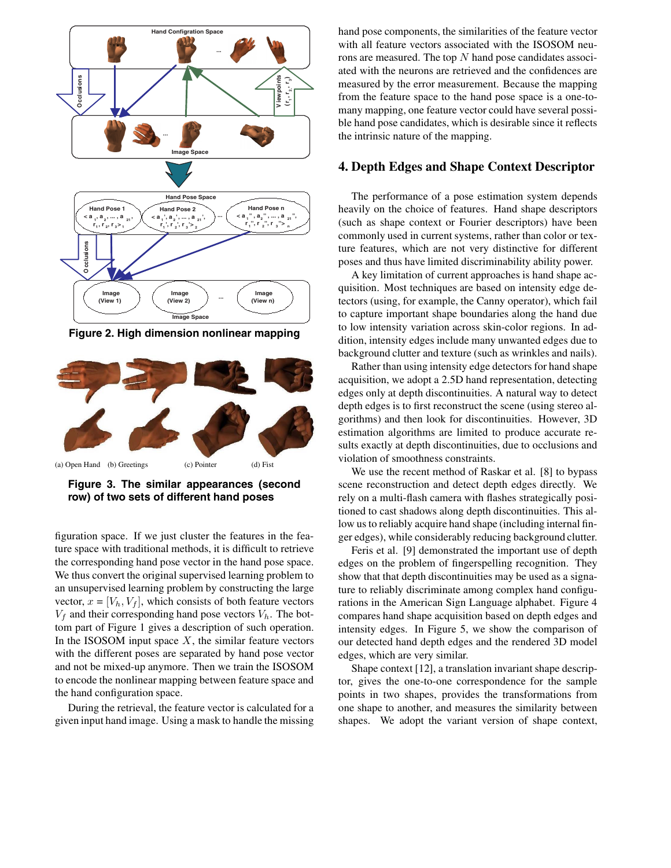

**Figure 2. High dimension nonlinear mapping**



**Figure 3. The similar appearances (second row) of two sets of different hand poses**

figuration space. If we just cluster the features in the feature space with traditional methods, it is difficult to retrieve the corresponding hand pose vector in the hand pose space. We thus convert the original supervised learning problem to an unsupervised learning problem by constructing the large vector,  $x = [V_h, V_f]$ , which consists of both feature vectors  $V_f$  and their corresponding hand pose vectors  $V_h$ . The bottom part of Figure 1 gives a description of such operation. In the ISOSOM input space  $X$ , the similar feature vectors with the different poses are separated by hand pose vector and not be mixed-up anymore. Then we train the ISOSOM to encode the nonlinear mapping between feature space and the hand configuration space.

During the retrieval, the feature vector is calculated for a given input hand image. Using a mask to handle the missing

hand pose components, the similarities of the feature vector with all feature vectors associated with the ISOSOM neurons are measured. The top *N* hand pose candidates associated with the neurons are retrieved and the confidences are measured by the error measurement. Because the mapping from the feature space to the hand pose space is a one-tomany mapping, one feature vector could have several possible hand pose candidates, which is desirable since it reflects the intrinsic nature of the mapping.

### **4. Depth Edges and Shape Context Descriptor**

The performance of a pose estimation system depends heavily on the choice of features. Hand shape descriptors (such as shape context or Fourier descriptors) have been commonly used in current systems, rather than color or texture features, which are not very distinctive for different poses and thus have limited discriminability ability power.

A key limitation of current approaches is hand shape acquisition. Most techniques are based on intensity edge detectors (using, for example, the Canny operator), which fail to capture important shape boundaries along the hand due to low intensity variation across skin-color regions. In addition, intensity edges include many unwanted edges due to background clutter and texture (such as wrinkles and nails).

Rather than using intensity edge detectors for hand shape acquisition, we adopt a 2.5D hand representation, detecting edges only at depth discontinuities. A natural way to detect depth edges is to first reconstruct the scene (using stereo algorithms) and then look for discontinuities. However, 3D estimation algorithms are limited to produce accurate results exactly at depth discontinuities, due to occlusions and violation of smoothness constraints.

We use the recent method of Raskar et al. [8] to bypass scene reconstruction and detect depth edges directly. We rely on a multi-flash camera with flashes strategically positioned to cast shadows along depth discontinuities. This allow us to reliably acquire hand shape (including internal finger edges), while considerably reducing background clutter.

Feris et al. [9] demonstrated the important use of depth edges on the problem of fingerspelling recognition. They show that that depth discontinuities may be used as a signature to reliably discriminate among complex hand configurations in the American Sign Language alphabet. Figure 4 compares hand shape acquisition based on depth edges and intensity edges. In Figure 5, we show the comparison of our detected hand depth edges and the rendered 3D model edges, which are very similar.

Shape context [12], a translation invariant shape descriptor, gives the one-to-one correspondence for the sample points in two shapes, provides the transformations from one shape to another, and measures the similarity between shapes. We adopt the variant version of shape context,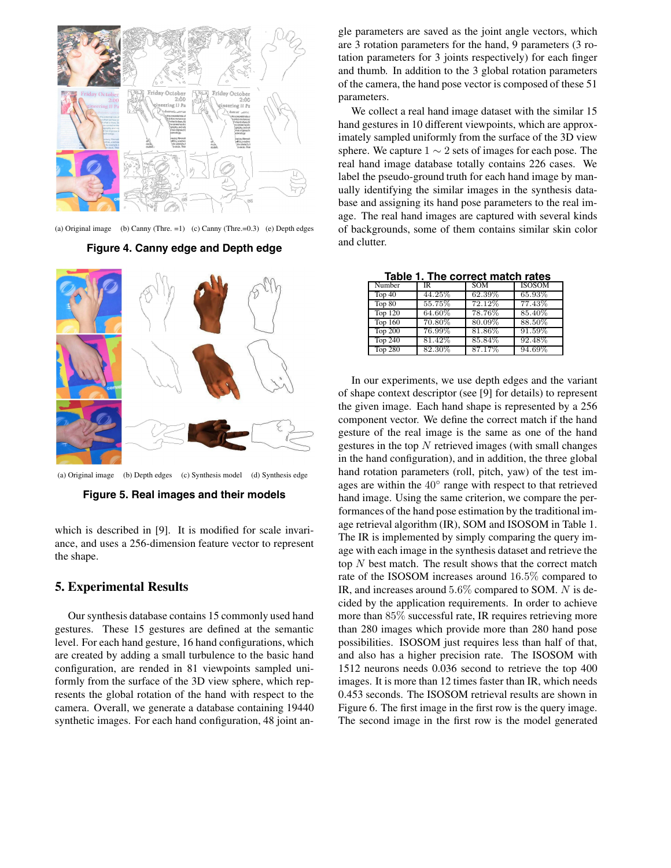

(a) Original image (b) Canny (Thre. =1) (c) Canny (Thre.=0.3) (e) Depth edges

### **Figure 4. Canny edge and Depth edge**



(a) Original image (b) Depth edges (c) Synthesis model (d) Synthesis edge

**Figure 5. Real images and their models**

which is described in [9]. It is modified for scale invariance, and uses a 256-dimension feature vector to represent the shape.

### **5. Experimental Results**

Our synthesis database contains 15 commonly used hand gestures. These 15 gestures are defined at the semantic level. For each hand gesture, 16 hand configurations, which are created by adding a small turbulence to the basic hand configuration, are rended in 81 viewpoints sampled uniformly from the surface of the 3D view sphere, which represents the global rotation of the hand with respect to the camera. Overall, we generate a database containing 19440 synthetic images. For each hand configuration, 48 joint angle parameters are saved as the joint angle vectors, which are 3 rotation parameters for the hand, 9 parameters (3 rotation parameters for 3 joints respectively) for each finger and thumb. In addition to the 3 global rotation parameters of the camera, the hand pose vector is composed of these 51 parameters.

We collect a real hand image dataset with the similar 15 hand gestures in 10 different viewpoints, which are approximately sampled uniformly from the surface of the 3D view sphere. We capture  $1 \sim 2$  sets of images for each pose. The real hand image database totally contains 226 cases. We label the pseudo-ground truth for each hand image by manually identifying the similar images in the synthesis database and assigning its hand pose parameters to the real image. The real hand images are captured with several kinds of backgrounds, some of them contains similar skin color and clutter.

| Table T. The correct match rates |        |            |               |
|----------------------------------|--------|------------|---------------|
| Number                           | IR.    | <b>SOM</b> | <b>ISOSOM</b> |
| Top 40                           | 44.25% | 62.39%     | 65.93%        |
| Top 80                           | 55.75% | 72.12%     | 77.43%        |
| <b>Top 120</b>                   | 64.60% | 78.76%     | 85.40%        |
| <b>Top 160</b>                   | 70.80% | 80.09%     | 88.50%        |
| <b>Top 200</b>                   | 76.99% | 81.86%     | 91.59%        |
| <b>Top 240</b>                   | 81.42% | 85.84%     | 92.48%        |
| <b>Top 280</b>                   | 82.30% | 87.17%     | 94.69%        |

**Table 1. The correct match rates**

In our experiments, we use depth edges and the variant of shape context descriptor (see [9] for details) to represent the given image. Each hand shape is represented by a 256 component vector. We define the correct match if the hand gesture of the real image is the same as one of the hand gestures in the top *N* retrieved images (with small changes in the hand configuration), and in addition, the three global hand rotation parameters (roll, pitch, yaw) of the test images are within the 40◦ range with respect to that retrieved hand image. Using the same criterion, we compare the performances of the hand pose estimation by the traditional image retrieval algorithm (IR), SOM and ISOSOM in Table 1. The IR is implemented by simply comparing the query image with each image in the synthesis dataset and retrieve the top *N* best match. The result shows that the correct match rate of the ISOSOM increases around 16*.*5% compared to IR, and increases around 5*.*6% compared to SOM. *N* is decided by the application requirements. In order to achieve more than 85% successful rate, IR requires retrieving more than 280 images which provide more than 280 hand pose possibilities. ISOSOM just requires less than half of that, and also has a higher precision rate. The ISOSOM with 1512 neurons needs 0.036 second to retrieve the top 400 images. It is more than 12 times faster than IR, which needs 0.453 seconds. The ISOSOM retrieval results are shown in Figure 6. The first image in the first row is the query image. The second image in the first row is the model generated